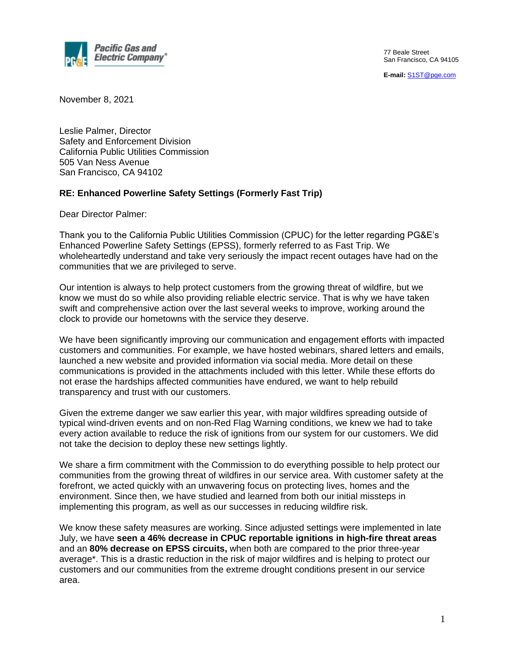

77 Beale Street San Francisco, CA 94105

**E-mail:** [S1ST@pge.com](mailto:S1ST@pge.com)

November 8, 2021

Leslie Palmer, Director Safety and Enforcement Division California Public Utilities Commission 505 Van Ness Avenue San Francisco, CA 94102

## **RE: Enhanced Powerline Safety Settings (Formerly Fast Trip)**

Dear Director Palmer:

Thank you to the California Public Utilities Commission (CPUC) for the letter regarding PG&E's Enhanced Powerline Safety Settings (EPSS), formerly referred to as Fast Trip. We wholeheartedly understand and take very seriously the impact recent outages have had on the communities that we are privileged to serve.

Our intention is always to help protect customers from the growing threat of wildfire, but we know we must do so while also providing reliable electric service. That is why we have taken swift and comprehensive action over the last several weeks to improve, working around the clock to provide our hometowns with the service they deserve.

We have been significantly improving our communication and engagement efforts with impacted customers and communities. For example, we have hosted webinars, shared letters and emails, launched a new website and provided information via social media. More detail on these communications is provided in the attachments included with this letter. While these efforts do not erase the hardships affected communities have endured, we want to help rebuild transparency and trust with our customers.

Given the extreme danger we saw earlier this year, with major wildfires spreading outside of typical wind-driven events and on non-Red Flag Warning conditions, we knew we had to take every action available to reduce the risk of ignitions from our system for our customers. We did not take the decision to deploy these new settings lightly.

We share a firm commitment with the Commission to do everything possible to help protect our communities from the growing threat of wildfires in our service area. With customer safety at the forefront, we acted quickly with an unwavering focus on protecting lives, homes and the environment. Since then, we have studied and learned from both our initial missteps in implementing this program, as well as our successes in reducing wildfire risk.

We know these safety measures are working. Since adjusted settings were implemented in late July, we have **seen a 46% decrease in CPUC reportable ignitions in high-fire threat areas** and an **80% decrease on EPSS circuits,** when both are compared to the prior three-year average\*. This is a drastic reduction in the risk of major wildfires and is helping to protect our customers and our communities from the extreme drought conditions present in our service area.